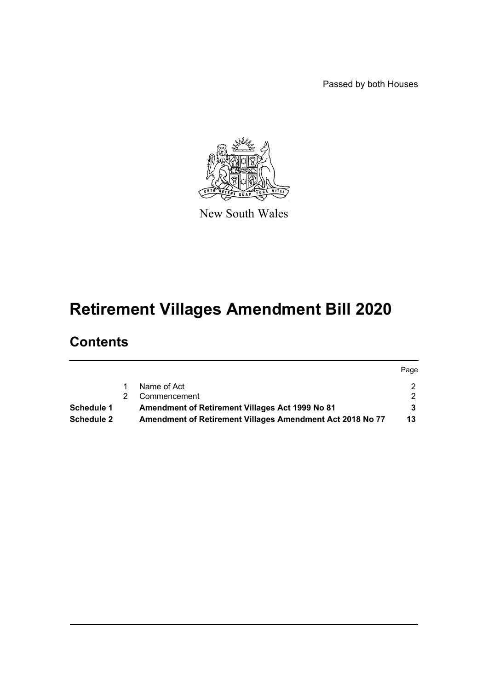Passed by both Houses



New South Wales

# **Retirement Villages Amendment Bill 2020**

# **Contents**

|                   |    |                                                           | Page |
|-------------------|----|-----------------------------------------------------------|------|
|                   |    | Name of Act                                               |      |
|                   | 2. | Commencement                                              |      |
| <b>Schedule 1</b> |    | Amendment of Retirement Villages Act 1999 No 81           |      |
| <b>Schedule 2</b> |    | Amendment of Retirement Villages Amendment Act 2018 No 77 | 13   |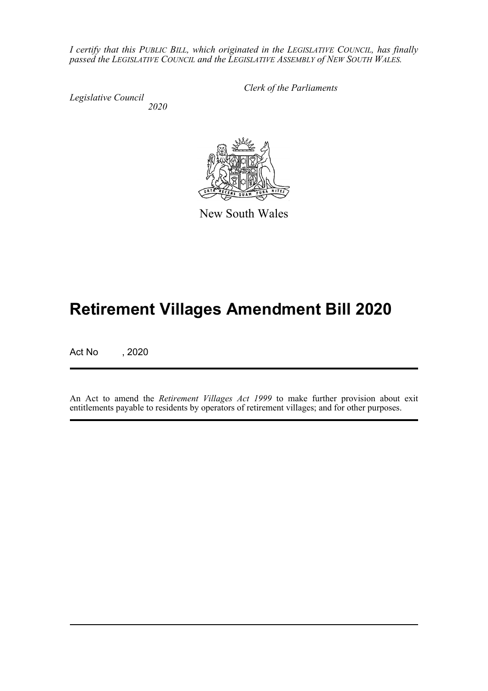*I certify that this PUBLIC BILL, which originated in the LEGISLATIVE COUNCIL, has finally passed the LEGISLATIVE COUNCIL and the LEGISLATIVE ASSEMBLY of NEW SOUTH WALES.*

*Legislative Council 2020* *Clerk of the Parliaments*

New South Wales

# **Retirement Villages Amendment Bill 2020**

Act No , 2020

An Act to amend the *Retirement Villages Act 1999* to make further provision about exit entitlements payable to residents by operators of retirement villages; and for other purposes.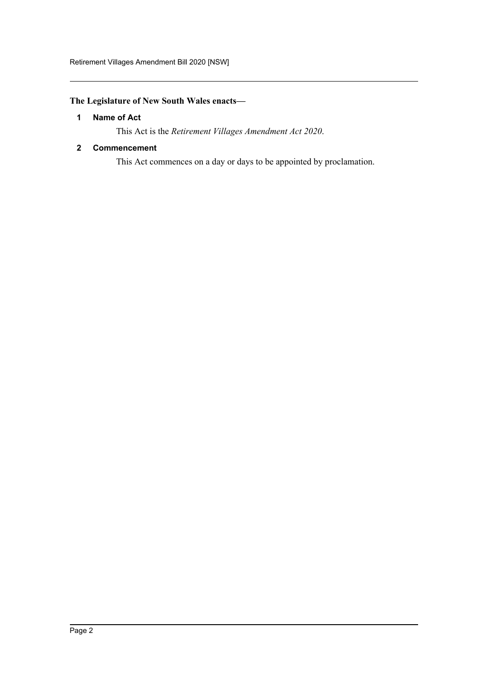### <span id="page-2-0"></span>**The Legislature of New South Wales enacts—**

#### **1 Name of Act**

This Act is the *Retirement Villages Amendment Act 2020*.

#### <span id="page-2-1"></span>**2 Commencement**

This Act commences on a day or days to be appointed by proclamation.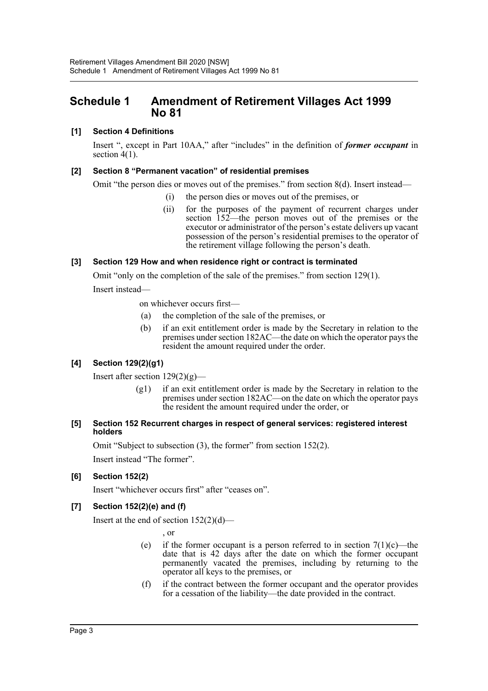# <span id="page-3-0"></span>**Schedule 1 Amendment of Retirement Villages Act 1999 No 81**

#### **[1] Section 4 Definitions**

Insert ", except in Part 10AA," after "includes" in the definition of *former occupant* in section 4(1).

#### **[2] Section 8 "Permanent vacation" of residential premises**

Omit "the person dies or moves out of the premises." from section  $8(d)$ . Insert instead—

- (i) the person dies or moves out of the premises, or
- (ii) for the purposes of the payment of recurrent charges under section 152—the person moves out of the premises or the executor or administrator of the person's estate delivers up vacant possession of the person's residential premises to the operator of the retirement village following the person's death.

#### **[3] Section 129 How and when residence right or contract is terminated**

Omit "only on the completion of the sale of the premises." from section 129(1).

Insert instead—

on whichever occurs first—

- (a) the completion of the sale of the premises, or
- (b) if an exit entitlement order is made by the Secretary in relation to the premises under section 182AC—the date on which the operator pays the resident the amount required under the order.

#### **[4] Section 129(2)(g1)**

Insert after section  $129(2)(g)$ —

(g1) if an exit entitlement order is made by the Secretary in relation to the premises under section 182AC—on the date on which the operator pays the resident the amount required under the order, or

#### **[5] Section 152 Recurrent charges in respect of general services: registered interest holders**

Omit "Subject to subsection (3), the former" from section 152(2).

Insert instead "The former".

#### **[6] Section 152(2)**

Insert "whichever occurs first" after "ceases on".

#### **[7] Section 152(2)(e) and (f)**

Insert at the end of section  $152(2)(d)$ —

, or

- (e) if the former occupant is a person referred to in section  $7(1)(c)$ —the date that is 42 days after the date on which the former occupant permanently vacated the premises, including by returning to the operator all keys to the premises, or
- (f) if the contract between the former occupant and the operator provides for a cessation of the liability—the date provided in the contract.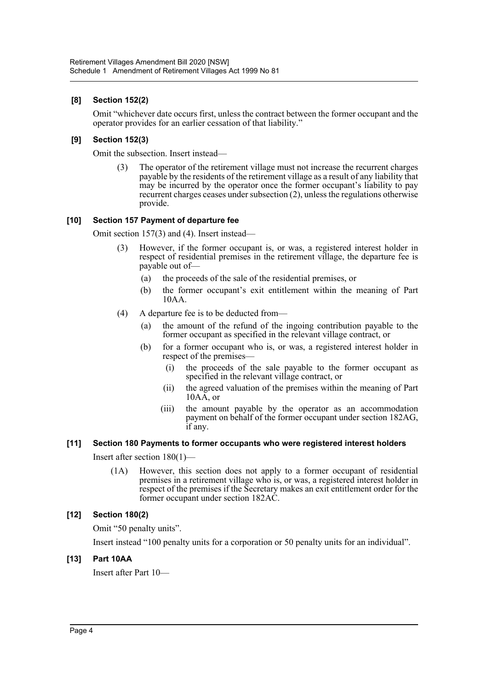#### **[8] Section 152(2)**

Omit "whichever date occurs first, unless the contract between the former occupant and the operator provides for an earlier cessation of that liability."

#### **[9] Section 152(3)**

Omit the subsection. Insert instead—

(3) The operator of the retirement village must not increase the recurrent charges payable by the residents of the retirement village as a result of any liability that may be incurred by the operator once the former occupant's liability to pay recurrent charges ceases under subsection (2), unless the regulations otherwise provide.

#### **[10] Section 157 Payment of departure fee**

Omit section 157(3) and (4). Insert instead—

- However, if the former occupant is, or was, a registered interest holder in respect of residential premises in the retirement village, the departure fee is payable out of—
	- (a) the proceeds of the sale of the residential premises, or
	- (b) the former occupant's exit entitlement within the meaning of Part 10AA.
- (4) A departure fee is to be deducted from—
	- (a) the amount of the refund of the ingoing contribution payable to the former occupant as specified in the relevant village contract, or
	- (b) for a former occupant who is, or was, a registered interest holder in respect of the premises—
		- (i) the proceeds of the sale payable to the former occupant as specified in the relevant village contract, or
		- (ii) the agreed valuation of the premises within the meaning of Part  $10A\overline{A}$ , or
		- (iii) the amount payable by the operator as an accommodation payment on behalf of the former occupant under section 182AG, if any.

#### **[11] Section 180 Payments to former occupants who were registered interest holders**

Insert after section 180(1)—

(1A) However, this section does not apply to a former occupant of residential premises in a retirement village who is, or was, a registered interest holder in respect of the premises if the Secretary makes an exit entitlement order for the former occupant under section 182AC.

#### **[12] Section 180(2)**

Omit "50 penalty units".

Insert instead "100 penalty units for a corporation or 50 penalty units for an individual".

#### **[13] Part 10AA**

Insert after Part 10—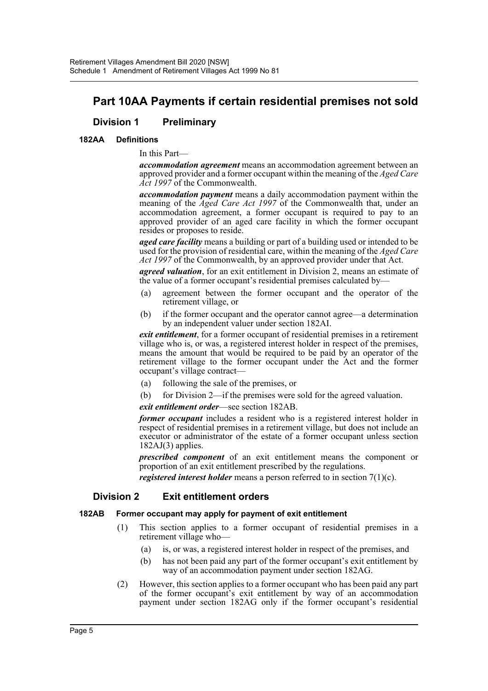# **Part 10AA Payments if certain residential premises not sold**

### **Division 1 Preliminary**

#### **182AA Definitions**

In this Part—

*accommodation agreement* means an accommodation agreement between an approved provider and a former occupant within the meaning of the *Aged Care Act 1997* of the Commonwealth.

*accommodation payment* means a daily accommodation payment within the meaning of the *Aged Care Act 1997* of the Commonwealth that, under an accommodation agreement, a former occupant is required to pay to an approved provider of an aged care facility in which the former occupant resides or proposes to reside.

*aged care facility* means a building or part of a building used or intended to be used for the provision of residential care, within the meaning of the *Aged Care* Act 1997 of the Commonwealth, by an approved provider under that Act.

*agreed valuation*, for an exit entitlement in Division 2, means an estimate of the value of a former occupant's residential premises calculated by—

- (a) agreement between the former occupant and the operator of the retirement village, or
- (b) if the former occupant and the operator cannot agree—a determination by an independent valuer under section 182AI.

*exit entitlement*, for a former occupant of residential premises in a retirement village who is, or was, a registered interest holder in respect of the premises, means the amount that would be required to be paid by an operator of the retirement village to the former occupant under the Act and the former occupant's village contract—

- (a) following the sale of the premises, or
- (b) for Division 2—if the premises were sold for the agreed valuation.

*exit entitlement order*—see section 182AB.

*former occupant* includes a resident who is a registered interest holder in respect of residential premises in a retirement village, but does not include an executor or administrator of the estate of a former occupant unless section 182AJ(3) applies.

*prescribed component* of an exit entitlement means the component or proportion of an exit entitlement prescribed by the regulations.

*registered interest holder* means a person referred to in section 7(1)(c).

#### **Division 2 Exit entitlement orders**

#### **182AB Former occupant may apply for payment of exit entitlement**

- (1) This section applies to a former occupant of residential premises in a retirement village who—
	- (a) is, or was, a registered interest holder in respect of the premises, and
	- (b) has not been paid any part of the former occupant's exit entitlement by way of an accommodation payment under section 182AG.
- (2) However, this section applies to a former occupant who has been paid any part of the former occupant's exit entitlement by way of an accommodation payment under section 182AG only if the former occupant's residential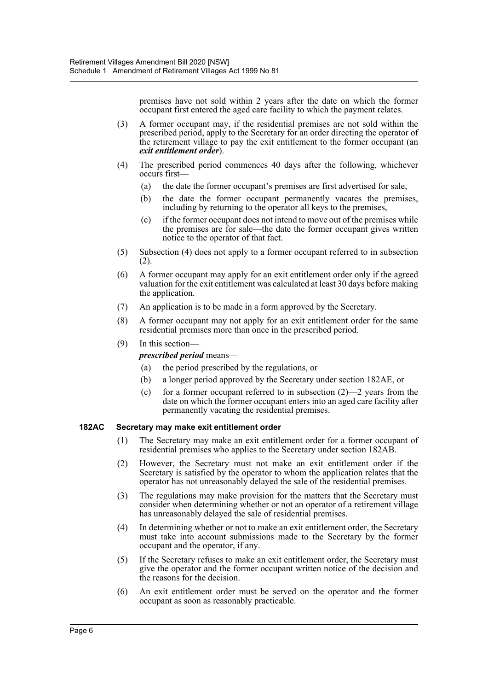premises have not sold within 2 years after the date on which the former occupant first entered the aged care facility to which the payment relates.

- (3) A former occupant may, if the residential premises are not sold within the prescribed period, apply to the Secretary for an order directing the operator of the retirement village to pay the exit entitlement to the former occupant (an *exit entitlement order*).
- (4) The prescribed period commences 40 days after the following, whichever occurs first—
	- (a) the date the former occupant's premises are first advertised for sale,
	- (b) the date the former occupant permanently vacates the premises, including by returning to the operator all keys to the premises,
	- (c) if the former occupant does not intend to move out of the premises while the premises are for sale—the date the former occupant gives written notice to the operator of that fact.
- (5) Subsection (4) does not apply to a former occupant referred to in subsection (2).
- (6) A former occupant may apply for an exit entitlement order only if the agreed valuation for the exit entitlement was calculated at least 30 days before making the application.
- (7) An application is to be made in a form approved by the Secretary.
- (8) A former occupant may not apply for an exit entitlement order for the same residential premises more than once in the prescribed period.
- (9) In this section—

#### *prescribed period* means—

- (a) the period prescribed by the regulations, or
- (b) a longer period approved by the Secretary under section 182AE, or
- (c) for a former occupant referred to in subsection (2)—2 years from the date on which the former occupant enters into an aged care facility after permanently vacating the residential premises.

#### **182AC Secretary may make exit entitlement order**

- (1) The Secretary may make an exit entitlement order for a former occupant of residential premises who applies to the Secretary under section 182AB.
- (2) However, the Secretary must not make an exit entitlement order if the Secretary is satisfied by the operator to whom the application relates that the operator has not unreasonably delayed the sale of the residential premises.
- (3) The regulations may make provision for the matters that the Secretary must consider when determining whether or not an operator of a retirement village has unreasonably delayed the sale of residential premises.
- (4) In determining whether or not to make an exit entitlement order, the Secretary must take into account submissions made to the Secretary by the former occupant and the operator, if any.
- (5) If the Secretary refuses to make an exit entitlement order, the Secretary must give the operator and the former occupant written notice of the decision and the reasons for the decision.
- (6) An exit entitlement order must be served on the operator and the former occupant as soon as reasonably practicable.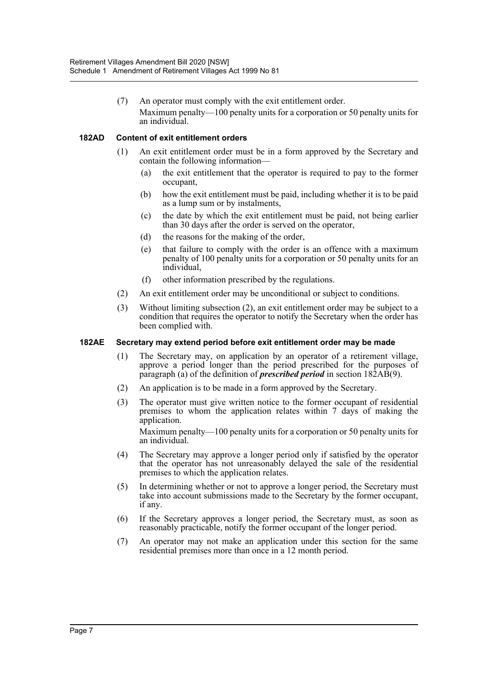(7) An operator must comply with the exit entitlement order. Maximum penalty—100 penalty units for a corporation or 50 penalty units for an individual.

#### **182AD Content of exit entitlement orders**

- (1) An exit entitlement order must be in a form approved by the Secretary and contain the following information—
	- (a) the exit entitlement that the operator is required to pay to the former occupant,
	- (b) how the exit entitlement must be paid, including whether it is to be paid as a lump sum or by instalments,
	- (c) the date by which the exit entitlement must be paid, not being earlier than 30 days after the order is served on the operator,
	- (d) the reasons for the making of the order,
	- (e) that failure to comply with the order is an offence with a maximum penalty of 100 penalty units for a corporation or 50 penalty units for an individual,
	- (f) other information prescribed by the regulations.
- (2) An exit entitlement order may be unconditional or subject to conditions.
- (3) Without limiting subsection (2), an exit entitlement order may be subject to a condition that requires the operator to notify the Secretary when the order has been complied with.

#### **182AE Secretary may extend period before exit entitlement order may be made**

- (1) The Secretary may, on application by an operator of a retirement village, approve a period longer than the period prescribed for the purposes of paragraph (a) of the definition of *prescribed period* in section 182AB(9).
- (2) An application is to be made in a form approved by the Secretary.
- (3) The operator must give written notice to the former occupant of residential premises to whom the application relates within 7 days of making the application. Maximum penalty—100 penalty units for a corporation or 50 penalty units for

an individual.

- (4) The Secretary may approve a longer period only if satisfied by the operator that the operator has not unreasonably delayed the sale of the residential premises to which the application relates.
- (5) In determining whether or not to approve a longer period, the Secretary must take into account submissions made to the Secretary by the former occupant, if any.
- (6) If the Secretary approves a longer period, the Secretary must, as soon as reasonably practicable, notify the former occupant of the longer period.
- (7) An operator may not make an application under this section for the same residential premises more than once in a 12 month period.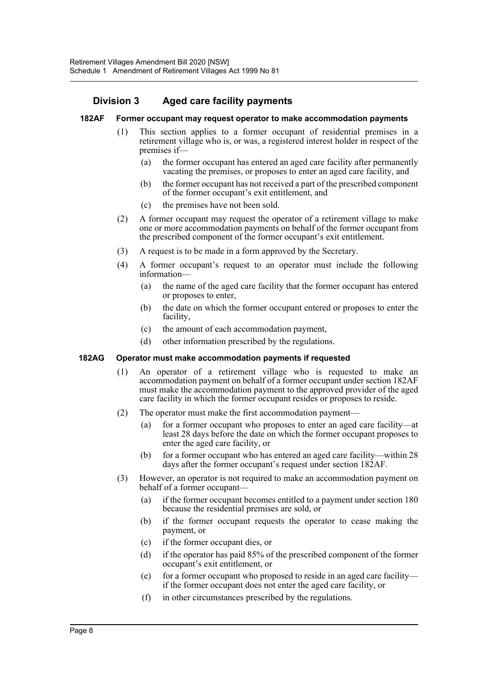## **Division 3 Aged care facility payments**

#### **182AF Former occupant may request operator to make accommodation payments**

- (1) This section applies to a former occupant of residential premises in a retirement village who is, or was, a registered interest holder in respect of the premises if—
	- (a) the former occupant has entered an aged care facility after permanently vacating the premises, or proposes to enter an aged care facility, and
	- (b) the former occupant has not received a part of the prescribed component of the former occupant's exit entitlement, and
	- (c) the premises have not been sold.
- (2) A former occupant may request the operator of a retirement village to make one or more accommodation payments on behalf of the former occupant from the prescribed component of the former occupant's exit entitlement.
- (3) A request is to be made in a form approved by the Secretary.
- (4) A former occupant's request to an operator must include the following information—
	- (a) the name of the aged care facility that the former occupant has entered or proposes to enter,
	- (b) the date on which the former occupant entered or proposes to enter the facility,
	- (c) the amount of each accommodation payment,
	- (d) other information prescribed by the regulations.

#### **182AG Operator must make accommodation payments if requested**

- (1) An operator of a retirement village who is requested to make an accommodation payment on behalf of a former occupant under section 182AF must make the accommodation payment to the approved provider of the aged care facility in which the former occupant resides or proposes to reside.
- (2) The operator must make the first accommodation payment—
	- (a) for a former occupant who proposes to enter an aged care facility—at least 28 days before the date on which the former occupant proposes to enter the aged care facility, or
	- (b) for a former occupant who has entered an aged care facility—within 28 days after the former occupant's request under section 182AF.
- (3) However, an operator is not required to make an accommodation payment on behalf of a former occupant—
	- (a) if the former occupant becomes entitled to a payment under section 180 because the residential premises are sold, or
	- (b) if the former occupant requests the operator to cease making the payment, or
	- (c) if the former occupant dies, or
	- (d) if the operator has paid 85% of the prescribed component of the former occupant's exit entitlement, or
	- (e) for a former occupant who proposed to reside in an aged care facility if the former occupant does not enter the aged care facility, or
	- (f) in other circumstances prescribed by the regulations.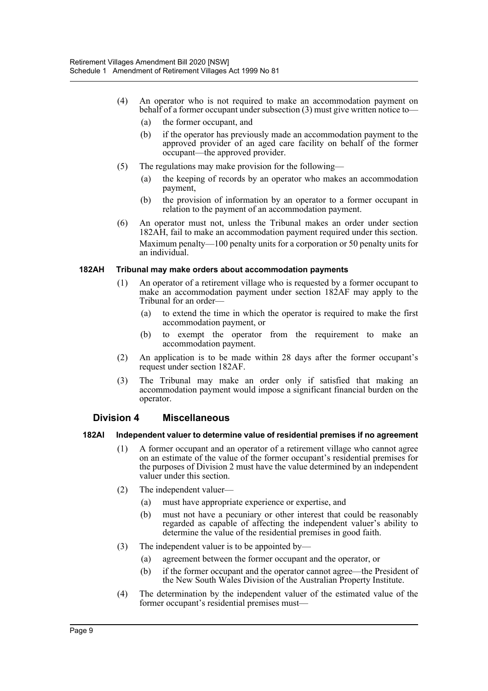- (4) An operator who is not required to make an accommodation payment on behalf of a former occupant under subsection (3) must give written notice to—
	- (a) the former occupant, and
	- (b) if the operator has previously made an accommodation payment to the approved provider of an aged care facility on behalf of the former occupant—the approved provider.
- (5) The regulations may make provision for the following—
	- (a) the keeping of records by an operator who makes an accommodation payment,
	- (b) the provision of information by an operator to a former occupant in relation to the payment of an accommodation payment.
- (6) An operator must not, unless the Tribunal makes an order under section 182AH, fail to make an accommodation payment required under this section. Maximum penalty—100 penalty units for a corporation or 50 penalty units for an individual.

#### **182AH Tribunal may make orders about accommodation payments**

- (1) An operator of a retirement village who is requested by a former occupant to make an accommodation payment under section 182AF may apply to the Tribunal for an order—
	- (a) to extend the time in which the operator is required to make the first accommodation payment, or
	- (b) to exempt the operator from the requirement to make an accommodation payment.
- (2) An application is to be made within 28 days after the former occupant's request under section 182AF.
- (3) The Tribunal may make an order only if satisfied that making an accommodation payment would impose a significant financial burden on the operator.

#### **Division 4 Miscellaneous**

#### **182AI Independent valuer to determine value of residential premises if no agreement**

- (1) A former occupant and an operator of a retirement village who cannot agree on an estimate of the value of the former occupant's residential premises for the purposes of Division 2 must have the value determined by an independent valuer under this section.
- (2) The independent valuer—
	- (a) must have appropriate experience or expertise, and
	- (b) must not have a pecuniary or other interest that could be reasonably regarded as capable of affecting the independent valuer's ability to determine the value of the residential premises in good faith.
- (3) The independent valuer is to be appointed by—
	- (a) agreement between the former occupant and the operator, or
	- (b) if the former occupant and the operator cannot agree—the President of the New South Wales Division of the Australian Property Institute.
- (4) The determination by the independent valuer of the estimated value of the former occupant's residential premises must—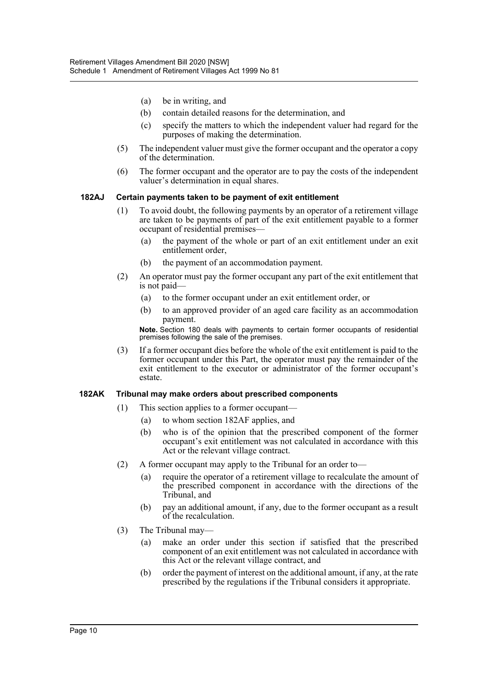- (a) be in writing, and
- (b) contain detailed reasons for the determination, and
- (c) specify the matters to which the independent valuer had regard for the purposes of making the determination.
- (5) The independent valuer must give the former occupant and the operator a copy of the determination.
- (6) The former occupant and the operator are to pay the costs of the independent valuer's determination in equal shares.

#### **182AJ Certain payments taken to be payment of exit entitlement**

- (1) To avoid doubt, the following payments by an operator of a retirement village are taken to be payments of part of the exit entitlement payable to a former occupant of residential premises—
	- (a) the payment of the whole or part of an exit entitlement under an exit entitlement order,
	- (b) the payment of an accommodation payment.
- (2) An operator must pay the former occupant any part of the exit entitlement that is not paid—
	- (a) to the former occupant under an exit entitlement order, or
	- (b) to an approved provider of an aged care facility as an accommodation payment.

**Note.** Section 180 deals with payments to certain former occupants of residential premises following the sale of the premises.

(3) If a former occupant dies before the whole of the exit entitlement is paid to the former occupant under this Part, the operator must pay the remainder of the exit entitlement to the executor or administrator of the former occupant's estate.

#### **182AK Tribunal may make orders about prescribed components**

- (1) This section applies to a former occupant—
	- (a) to whom section 182AF applies, and
	- (b) who is of the opinion that the prescribed component of the former occupant's exit entitlement was not calculated in accordance with this Act or the relevant village contract.
- (2) A former occupant may apply to the Tribunal for an order to—
	- (a) require the operator of a retirement village to recalculate the amount of the prescribed component in accordance with the directions of the Tribunal, and
	- (b) pay an additional amount, if any, due to the former occupant as a result of the recalculation.
- (3) The Tribunal may—
	- (a) make an order under this section if satisfied that the prescribed component of an exit entitlement was not calculated in accordance with this Act or the relevant village contract, and
	- (b) order the payment of interest on the additional amount, if any, at the rate prescribed by the regulations if the Tribunal considers it appropriate.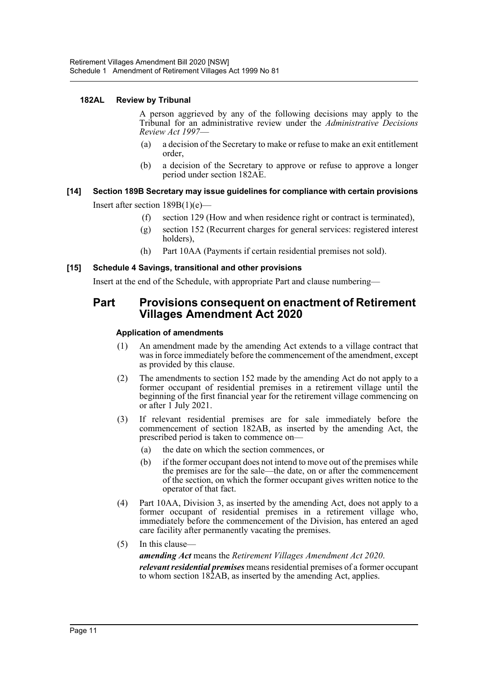#### **182AL Review by Tribunal**

A person aggrieved by any of the following decisions may apply to the Tribunal for an administrative review under the *Administrative Decisions Review Act 1997*—

- (a) a decision of the Secretary to make or refuse to make an exit entitlement order,
- (b) a decision of the Secretary to approve or refuse to approve a longer period under section 182AE.

# **[14] Section 189B Secretary may issue guidelines for compliance with certain provisions**

Insert after section 189B(1)(e)—

- (f) section 129 (How and when residence right or contract is terminated),
- (g) section 152 (Recurrent charges for general services: registered interest holders),
- (h) Part 10AA (Payments if certain residential premises not sold).

#### **[15] Schedule 4 Savings, transitional and other provisions**

Insert at the end of the Schedule, with appropriate Part and clause numbering—

## **Part Provisions consequent on enactment of Retirement Villages Amendment Act 2020**

#### **Application of amendments**

- (1) An amendment made by the amending Act extends to a village contract that was in force immediately before the commencement of the amendment, except as provided by this clause.
- (2) The amendments to section 152 made by the amending Act do not apply to a former occupant of residential premises in a retirement village until the beginning of the first financial year for the retirement village commencing on or after 1 July 2021.
- (3) If relevant residential premises are for sale immediately before the commencement of section 182AB, as inserted by the amending Act, the prescribed period is taken to commence on—
	- (a) the date on which the section commences, or
	- (b) if the former occupant does not intend to move out of the premises while the premises are for the sale—the date, on or after the commencement of the section, on which the former occupant gives written notice to the operator of that fact.
- (4) Part 10AA, Division 3, as inserted by the amending Act, does not apply to a former occupant of residential premises in a retirement village who, immediately before the commencement of the Division, has entered an aged care facility after permanently vacating the premises.
- (5) In this clause—

*amending Act* means the *Retirement Villages Amendment Act 2020*. *relevant residential premises* means residential premises of a former occupant to whom section 182AB, as inserted by the amending Act, applies.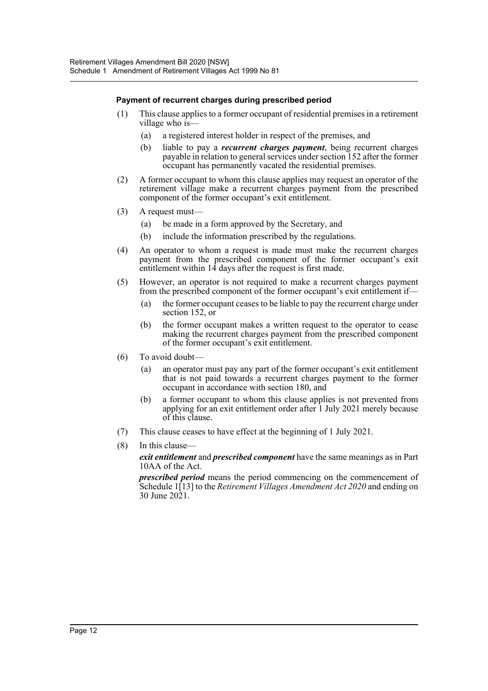#### **Payment of recurrent charges during prescribed period**

- (1) This clause applies to a former occupant of residential premises in a retirement village who is—
	- (a) a registered interest holder in respect of the premises, and
	- (b) liable to pay a *recurrent charges payment*, being recurrent charges payable in relation to general services under section 152 after the former occupant has permanently vacated the residential premises.
- (2) A former occupant to whom this clause applies may request an operator of the retirement village make a recurrent charges payment from the prescribed component of the former occupant's exit entitlement.
- (3) A request must—
	- (a) be made in a form approved by the Secretary, and
	- (b) include the information prescribed by the regulations.
- (4) An operator to whom a request is made must make the recurrent charges payment from the prescribed component of the former occupant's exit entitlement within 14 days after the request is first made.
- (5) However, an operator is not required to make a recurrent charges payment from the prescribed component of the former occupant's exit entitlement if—
	- (a) the former occupant ceases to be liable to pay the recurrent charge under section 152, or
	- (b) the former occupant makes a written request to the operator to cease making the recurrent charges payment from the prescribed component of the former occupant's exit entitlement.
- (6) To avoid doubt—
	- (a) an operator must pay any part of the former occupant's exit entitlement that is not paid towards a recurrent charges payment to the former occupant in accordance with section 180, and
	- (b) a former occupant to whom this clause applies is not prevented from applying for an exit entitlement order after 1 July 2021 merely because of this clause.
- (7) This clause ceases to have effect at the beginning of 1 July 2021.
- (8) In this clause—

*exit entitlement* and *prescribed component* have the same meanings as in Part 10AA of the Act.

*prescribed period* means the period commencing on the commencement of Schedule 1[13] to the *Retirement Villages Amendment Act 2020* and ending on 30 June 2021.